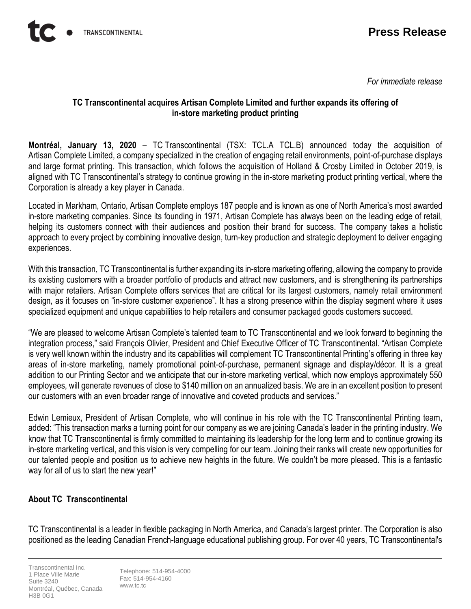*For immediate release*

## **TC Transcontinental acquires Artisan Complete Limited and further expands its offering of in-store marketing product printing**

**Montréal, January 13, 2020** – TC Transcontinental (TSX: TCL.A TCL.B) announced today the acquisition of Artisan Complete Limited, a company specialized in the creation of engaging retail environments, point-of-purchase displays and large format printing. This transaction, which follows the acquisition of Holland & Crosby Limited in October 2019, is aligned with TC Transcontinental's strategy to continue growing in the in-store marketing product printing vertical, where the Corporation is already a key player in Canada.

Located in Markham, Ontario, Artisan Complete employs 187 people and is known as one of North America's most awarded in-store marketing companies. Since its founding in 1971, Artisan Complete has always been on the leading edge of retail, helping its customers connect with their audiences and position their brand for success. The company takes a holistic approach to every project by combining innovative design, turn-key production and strategic deployment to deliver engaging experiences.

With this transaction, TC Transcontinental is further expanding its in-store marketing offering, allowing the company to provide its existing customers with a broader portfolio of products and attract new customers, and is strengthening its partnerships with major retailers. Artisan Complete offers services that are critical for its largest customers, namely retail environment design, as it focuses on "in-store customer experience". It has a strong presence within the display segment where it uses specialized equipment and unique capabilities to help retailers and consumer packaged goods customers succeed.

"We are pleased to welcome Artisan Complete's talented team to TC Transcontinental and we look forward to beginning the integration process," said François Olivier, President and Chief Executive Officer of TC Transcontinental. "Artisan Complete is very well known within the industry and its capabilities will complement TC Transcontinental Printing's offering in three key areas of in-store marketing, namely promotional point-of-purchase, permanent signage and display/décor. It is a great addition to our Printing Sector and we anticipate that our in-store marketing vertical, which now employs approximately 550 employees, will generate revenues of close to \$140 million on an annualized basis. We are in an excellent position to present our customers with an even broader range of innovative and coveted products and services."

Edwin Lemieux, President of Artisan Complete, who will continue in his role with the TC Transcontinental Printing team, added: "This transaction marks a turning point for our company as we are joining Canada's leader in the printing industry. We know that TC Transcontinental is firmly committed to maintaining its leadership for the long term and to continue growing its in-store marketing vertical, and this vision is very compelling for our team. Joining their ranks will create new opportunities for our talented people and position us to achieve new heights in the future. We couldn't be more pleased. This is a fantastic way for all of us to start the new year!"

## **About TC Transcontinental**

TC Transcontinental is a leader in flexible packaging in North America, and Canada's largest printer. The Corporation is also positioned as the leading Canadian French-language educational publishing group. For over 40 years, TC Transcontinental's

Transcontinental Inc. 1 Place Ville Marie Suite 3240 Montréal, Québec, Canada H3B 0G1

Telephone: 514-954-4000 Fax: 514-954-4160 www.tc.tc